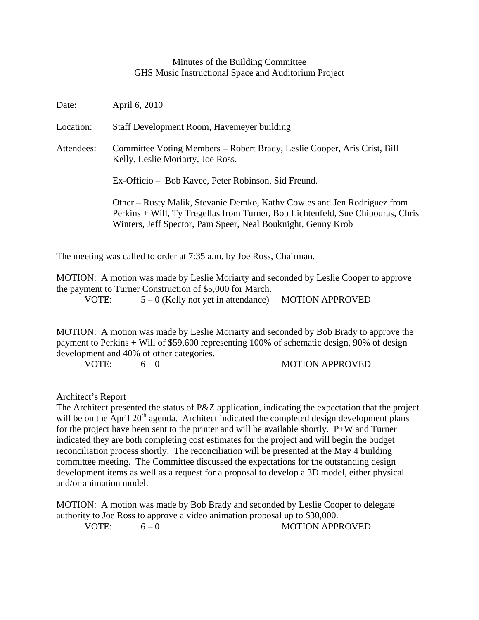## Minutes of the Building Committee GHS Music Instructional Space and Auditorium Project

| Date:      | April 6, 2010                                                                                                                                                                                                               |
|------------|-----------------------------------------------------------------------------------------------------------------------------------------------------------------------------------------------------------------------------|
| Location:  | Staff Development Room, Havemeyer building                                                                                                                                                                                  |
| Attendees: | Committee Voting Members – Robert Brady, Leslie Cooper, Aris Crist, Bill<br>Kelly, Leslie Moriarty, Joe Ross.                                                                                                               |
|            | Ex-Officio – Bob Kavee, Peter Robinson, Sid Freund.                                                                                                                                                                         |
|            | Other – Rusty Malik, Stevanie Demko, Kathy Cowles and Jen Rodriguez from<br>Perkins + Will, Ty Tregellas from Turner, Bob Lichtenfeld, Sue Chipouras, Chris<br>Winters, Jeff Spector, Pam Speer, Neal Bouknight, Genny Krob |

The meeting was called to order at 7:35 a.m. by Joe Ross, Chairman.

MOTION: A motion was made by Leslie Moriarty and seconded by Leslie Cooper to approve the payment to Turner Construction of \$5,000 for March.

VOTE:  $5-0$  (Kelly not yet in attendance) MOTION APPROVED

MOTION: A motion was made by Leslie Moriarty and seconded by Bob Brady to approve the payment to Perkins + Will of \$59,600 representing 100% of schematic design, 90% of design development and 40% of other categories.

VOTE:  $6-0$  MOTION APPROVED

Architect's Report

The Architect presented the status of P&Z application, indicating the expectation that the project will be on the April  $20<sup>th</sup>$  agenda. Architect indicated the completed design development plans for the project have been sent to the printer and will be available shortly. P+W and Turner indicated they are both completing cost estimates for the project and will begin the budget reconciliation process shortly. The reconciliation will be presented at the May 4 building committee meeting. The Committee discussed the expectations for the outstanding design development items as well as a request for a proposal to develop a 3D model, either physical and/or animation model.

MOTION: A motion was made by Bob Brady and seconded by Leslie Cooper to delegate authority to Joe Ross to approve a video animation proposal up to \$30,000.

VOTE:  $6-0$  MOTION APPROVED